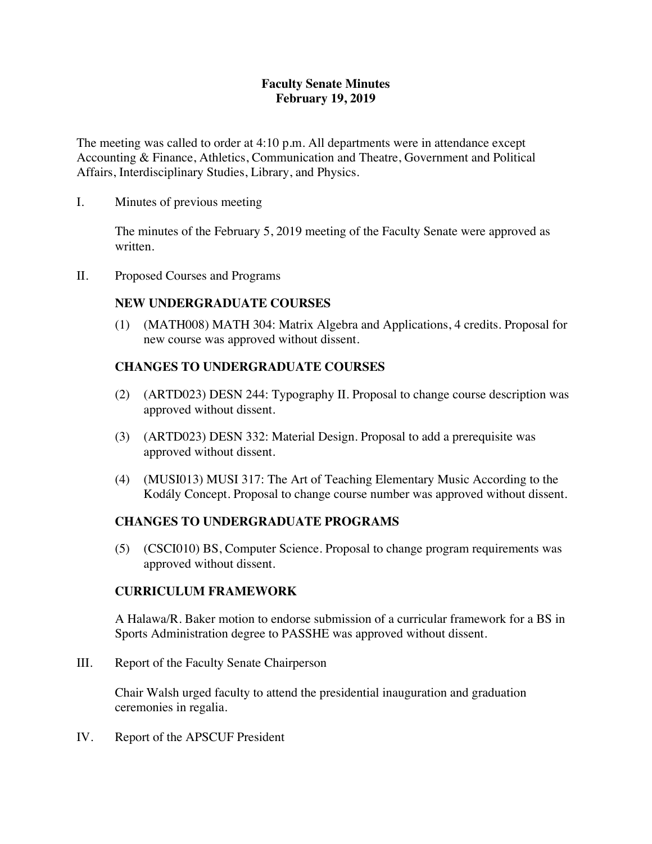### **Faculty Senate Minutes February 19, 2019**

The meeting was called to order at 4:10 p.m. All departments were in attendance except Accounting & Finance, Athletics, Communication and Theatre, Government and Political Affairs, Interdisciplinary Studies, Library, and Physics.

I. Minutes of previous meeting

The minutes of the February 5, 2019 meeting of the Faculty Senate were approved as written.

II. Proposed Courses and Programs

# **NEW UNDERGRADUATE COURSES**

(1) (MATH008) MATH 304: Matrix Algebra and Applications, 4 credits. Proposal for new course was approved without dissent.

# **CHANGES TO UNDERGRADUATE COURSES**

- (2) (ARTD023) DESN 244: Typography II. Proposal to change course description was approved without dissent.
- (3) (ARTD023) DESN 332: Material Design. Proposal to add a prerequisite was approved without dissent.
- (4) (MUSI013) MUSI 317: The Art of Teaching Elementary Music According to the Kodály Concept. Proposal to change course number was approved without dissent.

# **CHANGES TO UNDERGRADUATE PROGRAMS**

(5) (CSCI010) BS, Computer Science. Proposal to change program requirements was approved without dissent.

### **CURRICULUM FRAMEWORK**

A Halawa/R. Baker motion to endorse submission of a curricular framework for a BS in Sports Administration degree to PASSHE was approved without dissent.

III. Report of the Faculty Senate Chairperson

Chair Walsh urged faculty to attend the presidential inauguration and graduation ceremonies in regalia.

IV. Report of the APSCUF President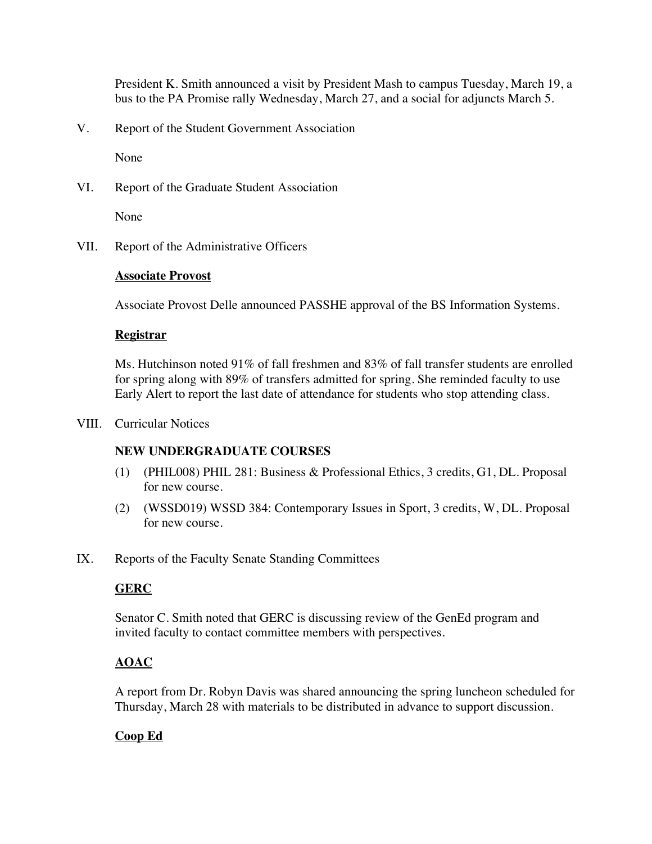President K. Smith announced a visit by President Mash to campus Tuesday, March 19, a bus to the PA Promise rally Wednesday, March 27, and a social for adjuncts March 5.

V. Report of the Student Government Association

None

VI. Report of the Graduate Student Association

None

VII. Report of the Administrative Officers

#### **Associate Provost**

Associate Provost Delle announced PASSHE approval of the BS Information Systems.

#### **Registrar**

Ms. Hutchinson noted 91% of fall freshmen and 83% of fall transfer students are enrolled for spring along with 89% of transfers admitted for spring. She reminded faculty to use Early Alert to report the last date of attendance for students who stop attending class.

VIII. Curricular Notices

### **NEW UNDERGRADUATE COURSES**

- (1) (PHIL008) PHIL 281: Business & Professional Ethics, 3 credits, G1, DL. Proposal for new course.
- (2) (WSSD019) WSSD 384: Contemporary Issues in Sport, 3 credits, W, DL. Proposal for new course.
- IX. Reports of the Faculty Senate Standing Committees

### **GERC**

Senator C. Smith noted that GERC is discussing review of the GenEd program and invited faculty to contact committee members with perspectives.

### **AOAC**

A report from Dr. Robyn Davis was shared announcing the spring luncheon scheduled for Thursday, March 28 with materials to be distributed in advance to support discussion.

### **Coop Ed**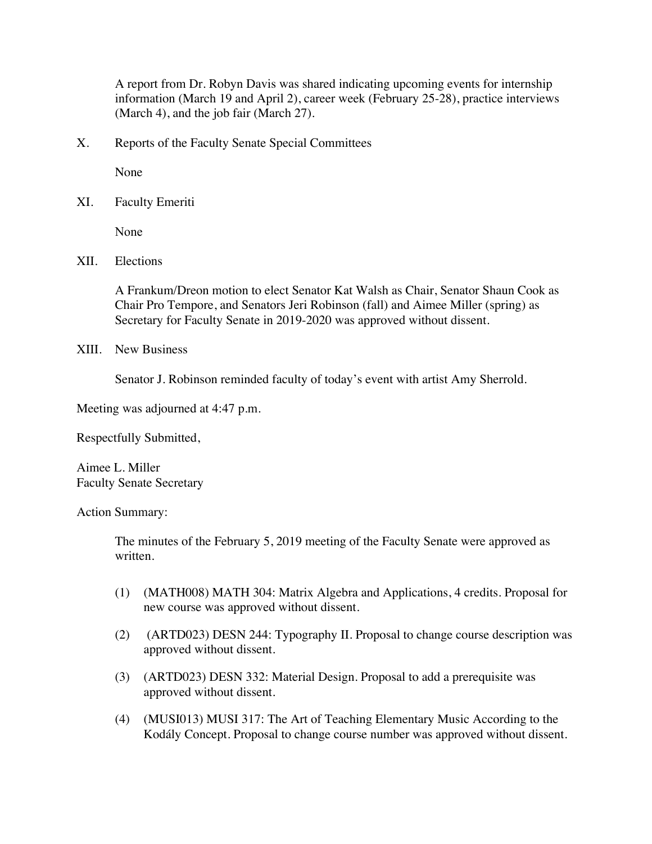A report from Dr. Robyn Davis was shared indicating upcoming events for internship information (March 19 and April 2), career week (February 25-28), practice interviews (March 4), and the job fair (March 27).

X. Reports of the Faculty Senate Special Committees

None

XI. Faculty Emeriti

None

XII. Elections

A Frankum/Dreon motion to elect Senator Kat Walsh as Chair, Senator Shaun Cook as Chair Pro Tempore, and Senators Jeri Robinson (fall) and Aimee Miller (spring) as Secretary for Faculty Senate in 2019-2020 was approved without dissent.

XIII. New Business

Senator J. Robinson reminded faculty of today's event with artist Amy Sherrold.

Meeting was adjourned at 4:47 p.m.

Respectfully Submitted,

Aimee L. Miller Faculty Senate Secretary

Action Summary:

The minutes of the February 5, 2019 meeting of the Faculty Senate were approved as written.

- (1) (MATH008) MATH 304: Matrix Algebra and Applications, 4 credits. Proposal for new course was approved without dissent.
- (2) (ARTD023) DESN 244: Typography II. Proposal to change course description was approved without dissent.
- (3) (ARTD023) DESN 332: Material Design. Proposal to add a prerequisite was approved without dissent.
- (4) (MUSI013) MUSI 317: The Art of Teaching Elementary Music According to the Kodály Concept. Proposal to change course number was approved without dissent.